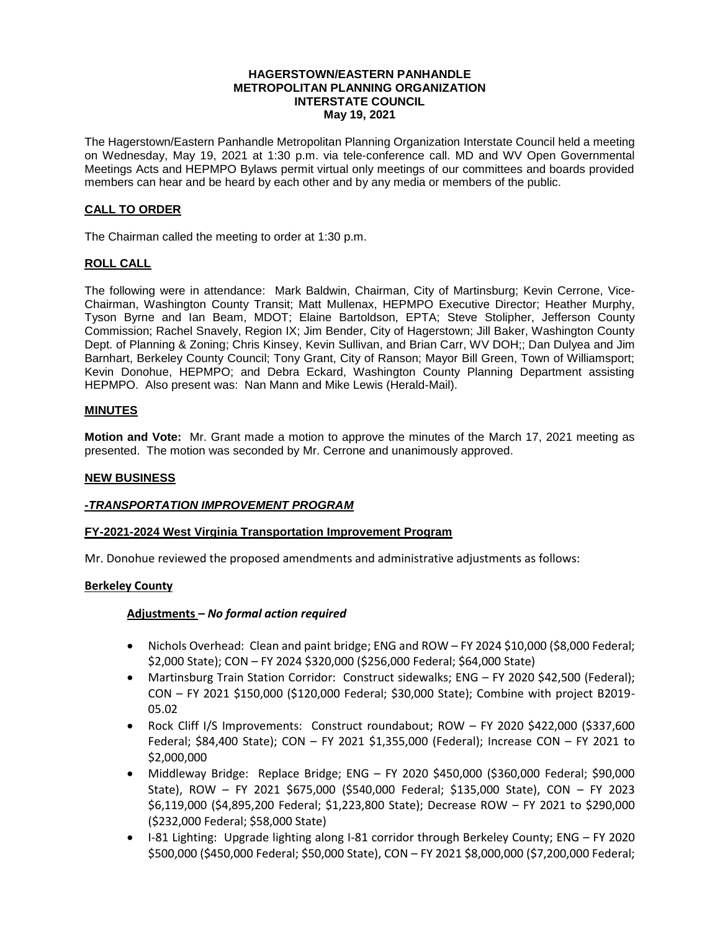#### **HAGERSTOWN/EASTERN PANHANDLE METROPOLITAN PLANNING ORGANIZATION INTERSTATE COUNCIL May 19, 2021**

The Hagerstown/Eastern Panhandle Metropolitan Planning Organization Interstate Council held a meeting on Wednesday, May 19, 2021 at 1:30 p.m. via tele-conference call. MD and WV Open Governmental Meetings Acts and HEPMPO Bylaws permit virtual only meetings of our committees and boards provided members can hear and be heard by each other and by any media or members of the public.

## **CALL TO ORDER**

The Chairman called the meeting to order at 1:30 p.m.

## **ROLL CALL**

The following were in attendance: Mark Baldwin, Chairman, City of Martinsburg; Kevin Cerrone, Vice-Chairman, Washington County Transit; Matt Mullenax, HEPMPO Executive Director; Heather Murphy, Tyson Byrne and Ian Beam, MDOT; Elaine Bartoldson, EPTA; Steve Stolipher, Jefferson County Commission; Rachel Snavely, Region IX; Jim Bender, City of Hagerstown; Jill Baker, Washington County Dept. of Planning & Zoning; Chris Kinsey, Kevin Sullivan, and Brian Carr, WV DOH;; Dan Dulyea and Jim Barnhart, Berkeley County Council; Tony Grant, City of Ranson; Mayor Bill Green, Town of Williamsport; Kevin Donohue, HEPMPO; and Debra Eckard, Washington County Planning Department assisting HEPMPO. Also present was: Nan Mann and Mike Lewis (Herald-Mail).

### **MINUTES**

**Motion and Vote:** Mr. Grant made a motion to approve the minutes of the March 17, 2021 meeting as presented. The motion was seconded by Mr. Cerrone and unanimously approved.

### **NEW BUSINESS**

### *-TRANSPORTATION IMPROVEMENT PROGRAM*

### **FY-2021-2024 West Virginia Transportation Improvement Program**

Mr. Donohue reviewed the proposed amendments and administrative adjustments as follows:

### **Berkeley County**

### **Adjustments** *– No formal action required*

- Nichols Overhead: Clean and paint bridge; ENG and ROW FY 2024 \$10,000 (\$8,000 Federal; \$2,000 State); CON – FY 2024 \$320,000 (\$256,000 Federal; \$64,000 State)
- Martinsburg Train Station Corridor: Construct sidewalks; ENG FY 2020 \$42,500 (Federal); CON – FY 2021 \$150,000 (\$120,000 Federal; \$30,000 State); Combine with project B2019- 05.02
- Rock Cliff I/S Improvements: Construct roundabout; ROW FY 2020 \$422,000 (\$337,600 Federal; \$84,400 State); CON – FY 2021 \$1,355,000 (Federal); Increase CON – FY 2021 to \$2,000,000
- Middleway Bridge: Replace Bridge; ENG FY 2020 \$450,000 (\$360,000 Federal; \$90,000 State), ROW – FY 2021 \$675,000 (\$540,000 Federal; \$135,000 State), CON – FY 2023 \$6,119,000 (\$4,895,200 Federal; \$1,223,800 State); Decrease ROW – FY 2021 to \$290,000 (\$232,000 Federal; \$58,000 State)
- I-81 Lighting: Upgrade lighting along I-81 corridor through Berkeley County; ENG FY 2020 \$500,000 (\$450,000 Federal; \$50,000 State), CON – FY 2021 \$8,000,000 (\$7,200,000 Federal;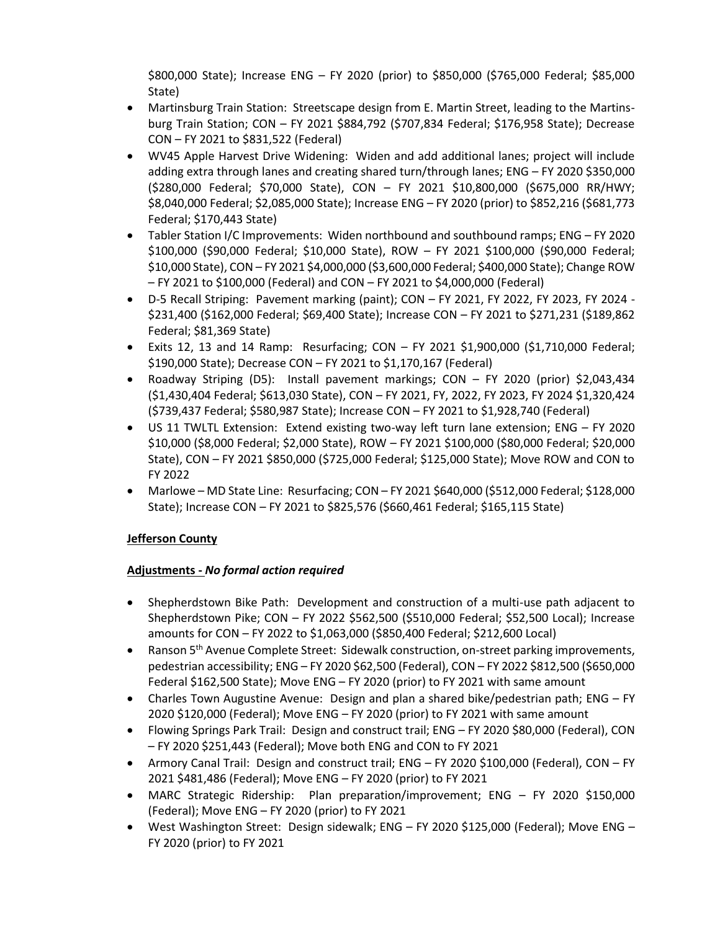\$800,000 State); Increase ENG – FY 2020 (prior) to \$850,000 (\$765,000 Federal; \$85,000 State)

- Martinsburg Train Station: Streetscape design from E. Martin Street, leading to the Martinsburg Train Station; CON – FY 2021 \$884,792 (\$707,834 Federal; \$176,958 State); Decrease CON – FY 2021 to \$831,522 (Federal)
- WV45 Apple Harvest Drive Widening: Widen and add additional lanes; project will include adding extra through lanes and creating shared turn/through lanes; ENG – FY 2020 \$350,000 (\$280,000 Federal; \$70,000 State), CON – FY 2021 \$10,800,000 (\$675,000 RR/HWY; \$8,040,000 Federal; \$2,085,000 State); Increase ENG – FY 2020 (prior) to \$852,216 (\$681,773 Federal; \$170,443 State)
- Tabler Station I/C Improvements: Widen northbound and southbound ramps; ENG FY 2020 \$100,000 (\$90,000 Federal; \$10,000 State), ROW – FY 2021 \$100,000 (\$90,000 Federal; \$10,000 State), CON – FY 2021 \$4,000,000 (\$3,600,000 Federal; \$400,000 State); Change ROW – FY 2021 to \$100,000 (Federal) and CON – FY 2021 to \$4,000,000 (Federal)
- D-5 Recall Striping: Pavement marking (paint); CON FY 2021, FY 2022, FY 2023, FY 2024 \$231,400 (\$162,000 Federal; \$69,400 State); Increase CON – FY 2021 to \$271,231 (\$189,862 Federal; \$81,369 State)
- Exits 12, 13 and 14 Ramp: Resurfacing; CON FY 2021 \$1,900,000 (\$1,710,000 Federal; \$190,000 State); Decrease CON – FY 2021 to \$1,170,167 (Federal)
- Roadway Striping (D5): Install pavement markings; CON FY 2020 (prior) \$2,043,434 (\$1,430,404 Federal; \$613,030 State), CON – FY 2021, FY, 2022, FY 2023, FY 2024 \$1,320,424 (\$739,437 Federal; \$580,987 State); Increase CON – FY 2021 to \$1,928,740 (Federal)
- US 11 TWLTL Extension: Extend existing two-way left turn lane extension; ENG FY 2020 \$10,000 (\$8,000 Federal; \$2,000 State), ROW – FY 2021 \$100,000 (\$80,000 Federal; \$20,000 State), CON – FY 2021 \$850,000 (\$725,000 Federal; \$125,000 State); Move ROW and CON to FY 2022
- Marlowe MD State Line: Resurfacing; CON FY 2021 \$640,000 (\$512,000 Federal; \$128,000 State); Increase CON – FY 2021 to \$825,576 (\$660,461 Federal; \$165,115 State)

# **Jefferson County**

## **Adjustments -** *No formal action required*

- Shepherdstown Bike Path: Development and construction of a multi-use path adjacent to Shepherdstown Pike; CON – FY 2022 \$562,500 (\$510,000 Federal; \$52,500 Local); Increase amounts for CON – FY 2022 to \$1,063,000 (\$850,400 Federal; \$212,600 Local)
- Ranson 5<sup>th</sup> Avenue Complete Street: Sidewalk construction, on-street parking improvements, pedestrian accessibility; ENG – FY 2020 \$62,500 (Federal), CON – FY 2022 \$812,500 (\$650,000 Federal \$162,500 State); Move ENG – FY 2020 (prior) to FY 2021 with same amount
- Charles Town Augustine Avenue: Design and plan a shared bike/pedestrian path; ENG FY 2020 \$120,000 (Federal); Move ENG – FY 2020 (prior) to FY 2021 with same amount
- Flowing Springs Park Trail: Design and construct trail; ENG FY 2020 \$80,000 (Federal), CON – FY 2020 \$251,443 (Federal); Move both ENG and CON to FY 2021
- Armory Canal Trail: Design and construct trail; ENG FY 2020 \$100,000 (Federal), CON FY 2021 \$481,486 (Federal); Move ENG – FY 2020 (prior) to FY 2021
- MARC Strategic Ridership: Plan preparation/improvement; ENG FY 2020 \$150,000 (Federal); Move ENG – FY 2020 (prior) to FY 2021
- West Washington Street: Design sidewalk; ENG FY 2020 \$125,000 (Federal); Move ENG FY 2020 (prior) to FY 2021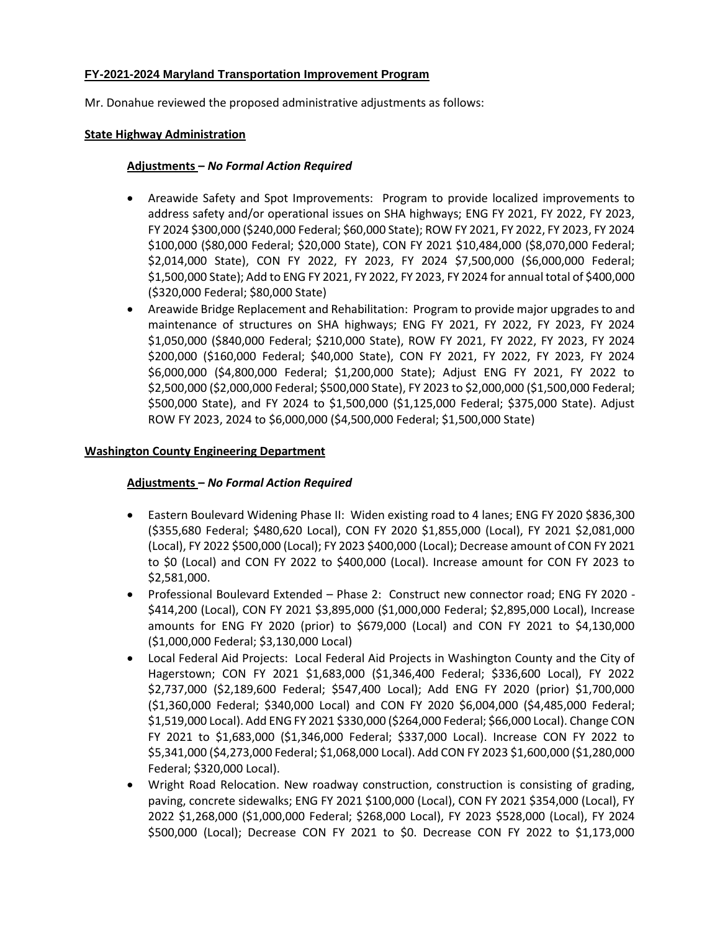## **FY-2021-2024 Maryland Transportation Improvement Program**

Mr. Donahue reviewed the proposed administrative adjustments as follows:

### **State Highway Administration**

## **Adjustments –** *No Formal Action Required*

- Areawide Safety and Spot Improvements: Program to provide localized improvements to address safety and/or operational issues on SHA highways; ENG FY 2021, FY 2022, FY 2023, FY 2024 \$300,000 (\$240,000 Federal; \$60,000 State); ROW FY 2021, FY 2022, FY 2023, FY 2024 \$100,000 (\$80,000 Federal; \$20,000 State), CON FY 2021 \$10,484,000 (\$8,070,000 Federal; \$2,014,000 State), CON FY 2022, FY 2023, FY 2024 \$7,500,000 (\$6,000,000 Federal; \$1,500,000 State); Add to ENG FY 2021, FY 2022, FY 2023, FY 2024 for annual total of \$400,000 (\$320,000 Federal; \$80,000 State)
- Areawide Bridge Replacement and Rehabilitation: Program to provide major upgrades to and maintenance of structures on SHA highways; ENG FY 2021, FY 2022, FY 2023, FY 2024 \$1,050,000 (\$840,000 Federal; \$210,000 State), ROW FY 2021, FY 2022, FY 2023, FY 2024 \$200,000 (\$160,000 Federal; \$40,000 State), CON FY 2021, FY 2022, FY 2023, FY 2024 \$6,000,000 (\$4,800,000 Federal; \$1,200,000 State); Adjust ENG FY 2021, FY 2022 to \$2,500,000 (\$2,000,000 Federal; \$500,000 State), FY 2023 to \$2,000,000 (\$1,500,000 Federal; \$500,000 State), and FY 2024 to \$1,500,000 (\$1,125,000 Federal; \$375,000 State). Adjust ROW FY 2023, 2024 to \$6,000,000 (\$4,500,000 Federal; \$1,500,000 State)

## **Washington County Engineering Department**

## **Adjustments –** *No Formal Action Required*

- Eastern Boulevard Widening Phase II: Widen existing road to 4 lanes; ENG FY 2020 \$836,300 (\$355,680 Federal; \$480,620 Local), CON FY 2020 \$1,855,000 (Local), FY 2021 \$2,081,000 (Local), FY 2022 \$500,000 (Local); FY 2023 \$400,000 (Local); Decrease amount of CON FY 2021 to \$0 (Local) and CON FY 2022 to \$400,000 (Local). Increase amount for CON FY 2023 to \$2,581,000.
- Professional Boulevard Extended Phase 2: Construct new connector road; ENG FY 2020 \$414,200 (Local), CON FY 2021 \$3,895,000 (\$1,000,000 Federal; \$2,895,000 Local), Increase amounts for ENG FY 2020 (prior) to \$679,000 (Local) and CON FY 2021 to \$4,130,000 (\$1,000,000 Federal; \$3,130,000 Local)
- Local Federal Aid Projects: Local Federal Aid Projects in Washington County and the City of Hagerstown; CON FY 2021 \$1,683,000 (\$1,346,400 Federal; \$336,600 Local), FY 2022 \$2,737,000 (\$2,189,600 Federal; \$547,400 Local); Add ENG FY 2020 (prior) \$1,700,000 (\$1,360,000 Federal; \$340,000 Local) and CON FY 2020 \$6,004,000 (\$4,485,000 Federal; \$1,519,000 Local). Add ENG FY 2021 \$330,000 (\$264,000 Federal; \$66,000 Local). Change CON FY 2021 to \$1,683,000 (\$1,346,000 Federal; \$337,000 Local). Increase CON FY 2022 to \$5,341,000 (\$4,273,000 Federal; \$1,068,000 Local). Add CON FY 2023 \$1,600,000 (\$1,280,000 Federal; \$320,000 Local).
- Wright Road Relocation. New roadway construction, construction is consisting of grading, paving, concrete sidewalks; ENG FY 2021 \$100,000 (Local), CON FY 2021 \$354,000 (Local), FY 2022 \$1,268,000 (\$1,000,000 Federal; \$268,000 Local), FY 2023 \$528,000 (Local), FY 2024 \$500,000 (Local); Decrease CON FY 2021 to \$0. Decrease CON FY 2022 to \$1,173,000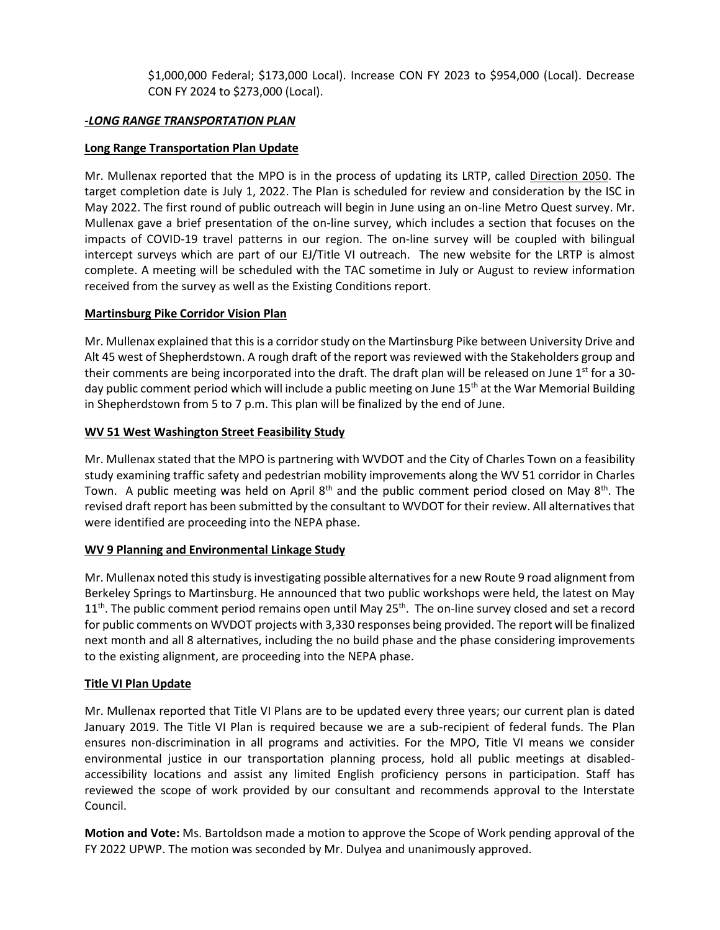\$1,000,000 Federal; \$173,000 Local). Increase CON FY 2023 to \$954,000 (Local). Decrease CON FY 2024 to \$273,000 (Local).

## *-LONG RANGE TRANSPORTATION PLAN*

## **Long Range Transportation Plan Update**

Mr. Mullenax reported that the MPO is in the process of updating its LRTP, called Direction 2050. The target completion date is July 1, 2022. The Plan is scheduled for review and consideration by the ISC in May 2022. The first round of public outreach will begin in June using an on-line Metro Quest survey. Mr. Mullenax gave a brief presentation of the on-line survey, which includes a section that focuses on the impacts of COVID-19 travel patterns in our region. The on-line survey will be coupled with bilingual intercept surveys which are part of our EJ/Title VI outreach. The new website for the LRTP is almost complete. A meeting will be scheduled with the TAC sometime in July or August to review information received from the survey as well as the Existing Conditions report.

## **Martinsburg Pike Corridor Vision Plan**

Mr. Mullenax explained that this is a corridor study on the Martinsburg Pike between University Drive and Alt 45 west of Shepherdstown. A rough draft of the report was reviewed with the Stakeholders group and their comments are being incorporated into the draft. The draft plan will be released on June  $1<sup>st</sup>$  for a 30day public comment period which will include a public meeting on June 15<sup>th</sup> at the War Memorial Building in Shepherdstown from 5 to 7 p.m. This plan will be finalized by the end of June.

## **WV 51 West Washington Street Feasibility Study**

Mr. Mullenax stated that the MPO is partnering with WVDOT and the City of Charles Town on a feasibility study examining traffic safety and pedestrian mobility improvements along the WV 51 corridor in Charles Town. A public meeting was held on April  $8<sup>th</sup>$  and the public comment period closed on May  $8<sup>th</sup>$ . The revised draft report has been submitted by the consultant to WVDOT for their review. All alternatives that were identified are proceeding into the NEPA phase.

## **WV 9 Planning and Environmental Linkage Study**

Mr. Mullenax noted this study is investigating possible alternatives for a new Route 9 road alignment from Berkeley Springs to Martinsburg. He announced that two public workshops were held, the latest on May  $11<sup>th</sup>$ . The public comment period remains open until May 25<sup>th</sup>. The on-line survey closed and set a record for public comments on WVDOT projects with 3,330 responses being provided. The report will be finalized next month and all 8 alternatives, including the no build phase and the phase considering improvements to the existing alignment, are proceeding into the NEPA phase.

## **Title VI Plan Update**

Mr. Mullenax reported that Title VI Plans are to be updated every three years; our current plan is dated January 2019. The Title VI Plan is required because we are a sub-recipient of federal funds. The Plan ensures non-discrimination in all programs and activities. For the MPO, Title VI means we consider environmental justice in our transportation planning process, hold all public meetings at disabledaccessibility locations and assist any limited English proficiency persons in participation. Staff has reviewed the scope of work provided by our consultant and recommends approval to the Interstate Council.

**Motion and Vote:** Ms. Bartoldson made a motion to approve the Scope of Work pending approval of the FY 2022 UPWP. The motion was seconded by Mr. Dulyea and unanimously approved.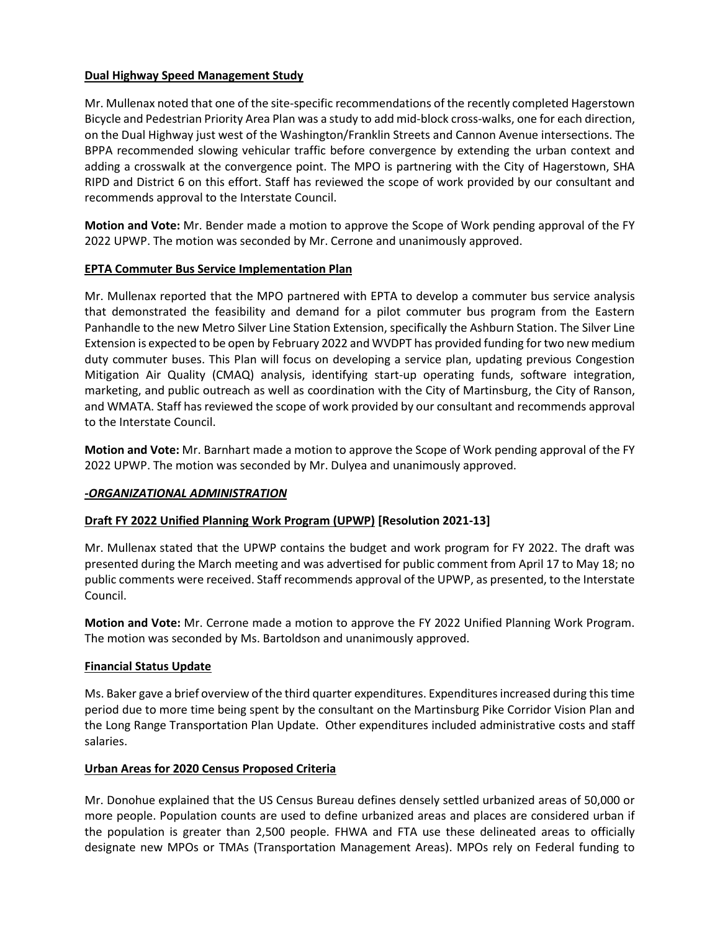## **Dual Highway Speed Management Study**

Mr. Mullenax noted that one of the site-specific recommendations of the recently completed Hagerstown Bicycle and Pedestrian Priority Area Plan was a study to add mid-block cross-walks, one for each direction, on the Dual Highway just west of the Washington/Franklin Streets and Cannon Avenue intersections. The BPPA recommended slowing vehicular traffic before convergence by extending the urban context and adding a crosswalk at the convergence point. The MPO is partnering with the City of Hagerstown, SHA RIPD and District 6 on this effort. Staff has reviewed the scope of work provided by our consultant and recommends approval to the Interstate Council.

**Motion and Vote:** Mr. Bender made a motion to approve the Scope of Work pending approval of the FY 2022 UPWP. The motion was seconded by Mr. Cerrone and unanimously approved.

## **EPTA Commuter Bus Service Implementation Plan**

Mr. Mullenax reported that the MPO partnered with EPTA to develop a commuter bus service analysis that demonstrated the feasibility and demand for a pilot commuter bus program from the Eastern Panhandle to the new Metro Silver Line Station Extension, specifically the Ashburn Station. The Silver Line Extension is expected to be open by February 2022 and WVDPT has provided funding for two new medium duty commuter buses. This Plan will focus on developing a service plan, updating previous Congestion Mitigation Air Quality (CMAQ) analysis, identifying start-up operating funds, software integration, marketing, and public outreach as well as coordination with the City of Martinsburg, the City of Ranson, and WMATA. Staff has reviewed the scope of work provided by our consultant and recommends approval to the Interstate Council.

**Motion and Vote:** Mr. Barnhart made a motion to approve the Scope of Work pending approval of the FY 2022 UPWP. The motion was seconded by Mr. Dulyea and unanimously approved.

## *-ORGANIZATIONAL ADMINISTRATION*

## **Draft FY 2022 Unified Planning Work Program (UPWP) [Resolution 2021-13]**

Mr. Mullenax stated that the UPWP contains the budget and work program for FY 2022. The draft was presented during the March meeting and was advertised for public comment from April 17 to May 18; no public comments were received. Staff recommends approval of the UPWP, as presented, to the Interstate Council.

**Motion and Vote:** Mr. Cerrone made a motion to approve the FY 2022 Unified Planning Work Program. The motion was seconded by Ms. Bartoldson and unanimously approved.

## **Financial Status Update**

Ms. Baker gave a brief overview of the third quarter expenditures. Expenditures increased during this time period due to more time being spent by the consultant on the Martinsburg Pike Corridor Vision Plan and the Long Range Transportation Plan Update. Other expenditures included administrative costs and staff salaries.

## **Urban Areas for 2020 Census Proposed Criteria**

Mr. Donohue explained that the US Census Bureau defines densely settled urbanized areas of 50,000 or more people. Population counts are used to define urbanized areas and places are considered urban if the population is greater than 2,500 people. FHWA and FTA use these delineated areas to officially designate new MPOs or TMAs (Transportation Management Areas). MPOs rely on Federal funding to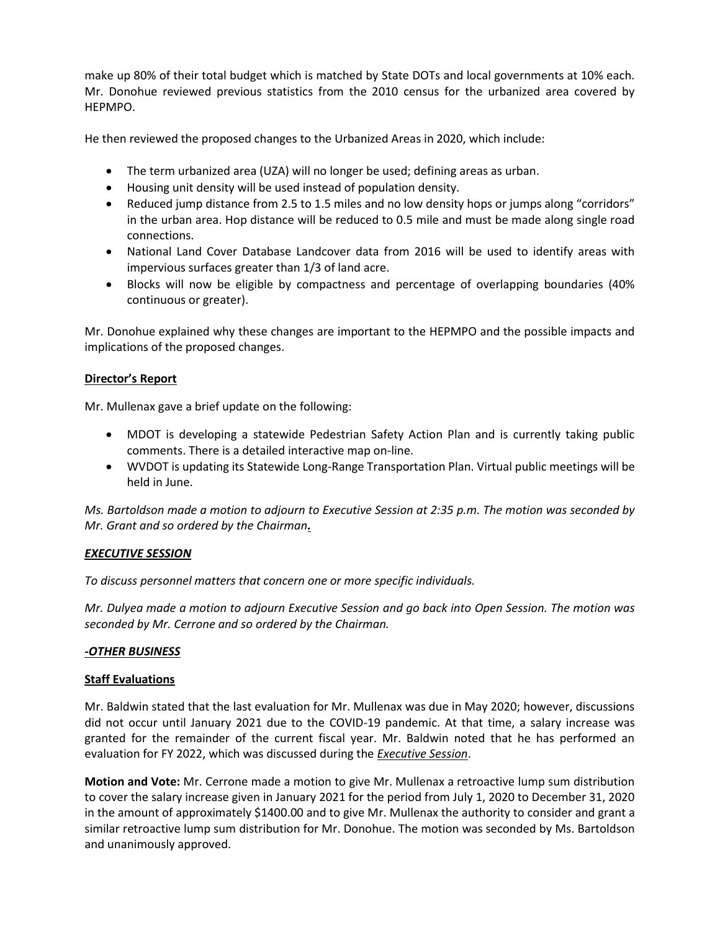make up 80% of their total budget which is matched by State DOTs and local governments at 10% each. Mr. Donohue reviewed previous statistics from the 2010 census for the urbanized area covered by HEPMPO.

He then reviewed the proposed changes to the Urbanized Areas in 2020, which include:

- The term urbanized area (UZA) will no longer be used; defining areas as urban.
- Housing unit density will be used instead of population density.
- Reduced jump distance from 2.5 to 1.5 miles and no low density hops or jumps along "corridors" in the urban area. Hop distance will be reduced to 0.5 mile and must be made along single road connections.
- National Land Cover Database Landcover data from 2016 will be used to identify areas with impervious surfaces greater than 1/3 of land acre.
- Blocks will now be eligible by compactness and percentage of overlapping boundaries (40% continuous or greater).

Mr. Donohue explained why these changes are important to the HEPMPO and the possible impacts and implications of the proposed changes.

## **Director's Report**

Mr. Mullenax gave a brief update on the following:

- MDOT is developing a statewide Pedestrian Safety Action Plan and is currently taking public comments. There is a detailed interactive map on-line.
- WVDOT is updating its Statewide Long-Range Transportation Plan. Virtual public meetings will be held in June.

*Ms. Bartoldson made a motion to adjourn to Executive Session at 2:35 p.m. The motion was seconded by Mr. Grant and so ordered by the Chairman.*

## *EXECUTIVE SESSION*

*To discuss personnel matters that concern one or more specific individuals.*

*Mr. Dulyea made a motion to adjourn Executive Session and go back into Open Session. The motion was seconded by Mr. Cerrone and so ordered by the Chairman.*

## *-OTHER BUSINESS*

## **Staff Evaluations**

Mr. Baldwin stated that the last evaluation for Mr. Mullenax was due in May 2020; however, discussions did not occur until January 2021 due to the COVID-19 pandemic. At that time, a salary increase was granted for the remainder of the current fiscal year. Mr. Baldwin noted that he has performed an evaluation for FY 2022, which was discussed during the *Executive Session*.

**Motion and Vote:** Mr. Cerrone made a motion to give Mr. Mullenax a retroactive lump sum distribution to cover the salary increase given in January 2021 for the period from July 1, 2020 to December 31, 2020 in the amount of approximately \$1400.00 and to give Mr. Mullenax the authority to consider and grant a similar retroactive lump sum distribution for Mr. Donohue. The motion was seconded by Ms. Bartoldson and unanimously approved.